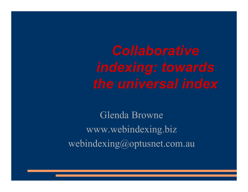Glenda Browne www.webindexing.biz webindexing@optusnet.com.au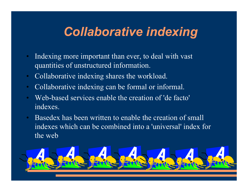## *Collaborative indexing*

- Indexing more important than ever, to deal with vast quantities of unstructured information.
- Collaborative indexing shares the workload.
- Collaborative indexing can be formal or informal.
- Web-based services enable the creation of 'de facto' indexes.
- Basedex has been written to enable the creation of small indexes which can be combined into a 'universal' index for the web

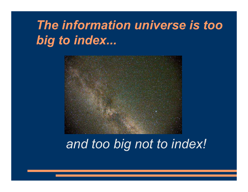# *The information universe is too big to index...*



## *and too big not to index!*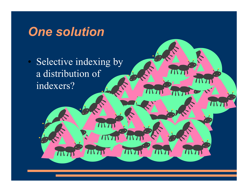## *One solution*

 $T\Gamma T$ 

• Selective indexing by a distribution of indexers?

Mп

 $\mathcal{T}$ 

**IN7** 

 $\bullet$ 

 $I\Gamma$ 

 $\prime\prime\prime$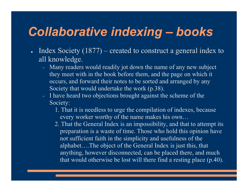## *Collaborative indexing – books*

- $\blacksquare$  Index Society (1877) created to construct a general index to all knowledge.
	- Many readers would readily jot down the name of any new subject they meet with in the book before them, and the page on which it occurs, and forward their notes to be sorted and arranged by any Society that would undertake the work (p.38).
	- I have heard two objections brought against the scheme of the Society:
		- 1. That it is needless to urge the compilation of indexes, because every worker worthy of the name makes his own…
		- 2. That the General Index is an impossibility, and that to attempt its preparation is a waste of time. Those who hold this opinion have not sufficient faith in the simplicity and usefulness of the alphabet….The object of the General Index is just this, that anything, however disconnected, can be placed there, and much that would otherwise be lost will there find a resting place (p.40).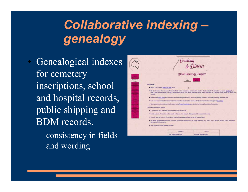## *Collaborative indexing – genealogy*

- Genealogical indexes for cemetery inscriptions, school and hospital records, public shipping and BDM records.
	- consistency in fields and wording

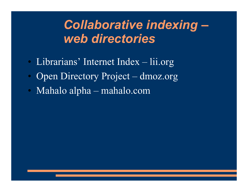## *Collaborative indexing – web directories*

- Librarians' Internet Index lii.org
- Open Directory Project dmoz.org
- Mahalo alpha mahalo.com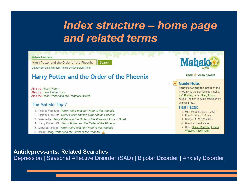## *Index structure – home page and related terms*

**Mahalo Homepage** 

Harry Potter and the Order of the Phoenix

Categories: Entertainment | Film | Contemporary Films

### Harry Potter and the Order of the Phoenix

Search

Also try: Harry Potter Also try: Harry Potter Toys Also try: Harry Potter and the Deathly Hallows

#### The Mahalo Top 7

- 1. Official WB Site: Harry Potter and the Order of the Phoenix
- 2. Official Film Site: Harry Potter and the Order of the Phoenix
- 3. Wikipedia: Harry Potter and the Order of the Phoenix Film and Novel
- 4. Harry Potter Wiki: Harry Potter and the Order of the Phoenix
- 5. MySpace Page: Harry Potter and the Order of the Phoenix
- 6. IMDb: Harry Potter and the Order of the Phoenix



#### Login & Create Account

#### **Guide Note:**

Harry Potter and the Order of the Phoenix is the fifth fantasy novel by J.K. Rowling in the Harry Potter series. The film is being produced by Warner Bros.

#### **Fast Facts:**

- 1. US Release: July 11, 2007
- 2. Running time: 138 min
- 3. Budget. \$150-200 million
- 4. Director: David Yates
- 5. Cast: Daniel Radcliffe, Emma Watson, Rupert Grint

#### **Antidepressants: Related Searches**

Depression | Seasonal Affective Disorder (SAD) | Bipolar Disorder | Anxiety Disorder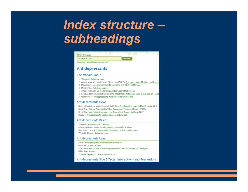## *Index structure – subheadings*

| <u>e for</u><br>w<br><b>Mahalo Homepage</b>                                                                                                                                                                                                                                                                                                                                                                                                                    |  |  |
|----------------------------------------------------------------------------------------------------------------------------------------------------------------------------------------------------------------------------------------------------------------------------------------------------------------------------------------------------------------------------------------------------------------------------------------------------------------|--|--|
| Search<br>Antidepressants                                                                                                                                                                                                                                                                                                                                                                                                                                      |  |  |
| Categories: Health   Drugs   Mental Health                                                                                                                                                                                                                                                                                                                                                                                                                     |  |  |
| <b>Antidepressants</b>                                                                                                                                                                                                                                                                                                                                                                                                                                         |  |  |
| The Mahalo Top 7                                                                                                                                                                                                                                                                                                                                                                                                                                               |  |  |
| 1. Wikipedia: Antidepressant<br>2. American Academy of Family Physicains (AAFP): Antidepressants: Medicine for Depres<br>3. MayoClinic.com: Antidepressants: Selecting one this is right for you<br>4. MedlinePlus: Antidepressants<br>5. eMedicineHealth: Understanding Antidepressant Medications<br>6. Food and Drug Administration (FDA): About Using Antidepressants in Children or Teena<br>7. Health Place: Antidepressants: Medications for Depression |  |  |
| <b>Antidepressants News</b>                                                                                                                                                                                                                                                                                                                                                                                                                                    |  |  |
| National Institute of Mental Health (NIMH): Benefits of Antidepressants May Outweigh Risks<br>HealthDay: Suicide Attempts Fall After Depression Treatment Begins (2007)<br>HealthDay: Mom's Antidepressant Use Poses Little Danger to Baby (2007)<br>Reuters: Antidepressants weaken bones in elderly (2007).                                                                                                                                                  |  |  |
| <b>Antidepressants Basics</b>                                                                                                                                                                                                                                                                                                                                                                                                                                  |  |  |
| Wikipedia: Antidepressant - History<br>eMedicineHealth: Understanding Antidepressant Medications<br>MayoClinic.com: Antidepressants: Selecting one that's right for you<br>WebMD: All About Antidepressants                                                                                                                                                                                                                                                    |  |  |
| <b>Antidepressants Uses</b>                                                                                                                                                                                                                                                                                                                                                                                                                                    |  |  |

AAFP: Antidepressants: Medicine for Depression MedlinePlus: Depression FDA: Medication Guide: About Using Antidepressants in Children or Teenagers NIMH: Depression WebMD: Depression: Medication Options

Antidepressants Side Effects, Interactions and Precautions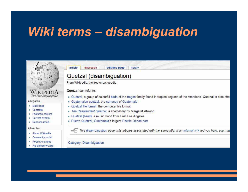## *Wiki terms – disambiguation*

#### article discussion edit this page history Quetzal (disambiguation) From Wikipedia, the free encyclopedia Quetzal can refer to: Wikipedi The Free Encyclopedia " Quetzal, a group of colourful birds of the trogon family found in tropical regions of the Americas. Quetzal is also ofte Guatemalan quetzal, the currency of Guatemala navigation " Quetzal file format, the computer file format **In Main page** Contents The Resplendent Quetzal, a short-story by Margaret Atwood Featured content Quetzal (band), a music band from East Los Angeles Current events Puerto Quetzal, Guatemala's largest Pacific Ocean port Random article interaction This disambiguation page lists articles associated with the same title. If an internal link led you here, you may About Wikipedia Community portal Recent changes Category: Disambiguation File upload wizard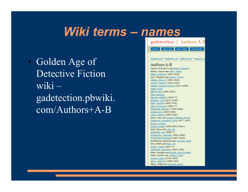## *Wiki terms – names*

• Golden Age of Detective Fiction  $wiki$ gadetection.pbwiki. com/Authors+A-B

gadetection | Authors A-B Home Edit page New page Comments Authors A-B \* Authors C-D \* Authors E-H \* Authors I-**Authors A-B** Aarons, Edward S see Ronns, Edward Abbey, Kieran see Reilly, Helen Abbot, Anthony (1893-1952) Acre, Stephen see Gruber, Frank Adams, Cleve F (1895-1949) Adams, Herbert (1874-1952) Adams, Samuel Hopkins (1871-1958) Addis, Hugh Afford, Max (1906-1954) Alan, Marjorie Albrand, Martha (1914-??) Alington, Cyril (1872-1955) Allan, Dennis (1900-1978) Allen, H Warner (1881-??) Allingham, Margery (1904-1966) Ambler, Eric (1909-1998) Ames, Delano (1906-1987) Amos, Alan see Knight, Kathleen Moore Anderson, Frederick Irving (1877-1947) Anson, Lindsay Antony, Peter (1926-2001/1926-) April, Steve see Lacy, Ed Archibald, Joe (1898-??) Armstrong, Charlotte (1905-1969) Armstrong, Margaret (1867-1944) Armstrong, Raymond see Corrigan, Mark Arre, Helen see Ross, ZH Arthur, Frank (1902-??) Ashbrook, Harriette (1896-1946) Ashe, Douglas see Bardin, John Franklin Ashe, Gordon see Creasey, John Asimov, Isaac (1920-1992) Atkey, Bertram (1880-1952) Atkey, Philip see Perowne, Barry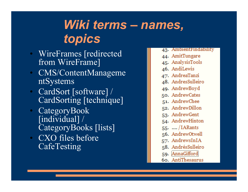## *Wiki terms – names, topics*

- WireFrames [redirected from WireFrame]
- CMS/ContentManageme ntSystems
- CardSort [software] / CardSorting [technique]
- CategoryBook [individual] / CategoryBooks [lists]
- CXO files before **CafeTesting**
- 43. AmbientFindability
- 44. AmitTungare
- 45. AnalysisTools
- 46. AndiLewis
- 47. AndreaTanzi
- 48. AndresSulleiro
- 49. AndrewBoyd
- 50. AndrewCates
- 51. AndrewChee
- 52. AndrewDillon
- 53. AndrewGent
- 54. AndrewHinton
- 55. .... / IARants
- 56. AndrewOtwell
- 57. AndrewsInIA
- 58. AndrésSulleiro
- 59. AnnaGifford
- 60. AntiThesaurus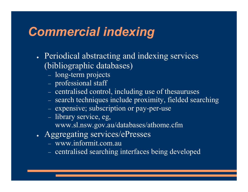## *Commercial indexing*

- Periodical abstracting and indexing services (bibliographic databases)
	- long-term projects
	- professional staff
	- centralised control, including use of thesauruses
	- search techniques include proximity, fielded searching
	- expensive; subscription or pay-per-use
	- library service, eg,
		- www.sl.nsw.gov.au/databases/athome.cfm
- <sup>Ɣ</sup> Aggregating services/ePresses
	- www.informit.com.au
	- centralised searching interfaces being developed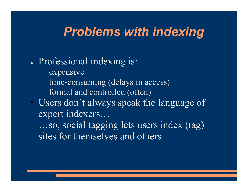## *Problems with indexing*

### • Professional indexing is:

- expensive
- time-consuming (delays in access)
- formal and controlled (often)
- Users don't always speak the language of expert indexers…

…so, social tagging lets users index (tag) sites for themselves and others.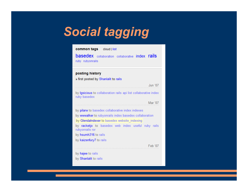# *Social tagging*

| common tags cloud   list                                                         |  |  |  |
|----------------------------------------------------------------------------------|--|--|--|
| <b>basedex</b> collaboration collaborative index rails<br>ruby rubyonrails       |  |  |  |
|                                                                                  |  |  |  |
| posting history                                                                  |  |  |  |
| » first posted by Shanlalit to rails                                             |  |  |  |
| Jun '07                                                                          |  |  |  |
| by Igsicious to collaboration rails api list collaborative index<br>ruby basedex |  |  |  |
| Mar '07                                                                          |  |  |  |
| by pilarw to basedex collaborative index indexes                                 |  |  |  |
| by wwwalker to rubyonrails index basedex collaboration                           |  |  |  |
| by Glendalndexer to basedex website indexing                                     |  |  |  |
| by racketjo to basedex web index useful ruby rails<br>rubyonrails ror            |  |  |  |
| by hsumh316 to rails                                                             |  |  |  |
| by kaizenfury7 to rails                                                          |  |  |  |
| Feb '07                                                                          |  |  |  |
| by hajee to rails                                                                |  |  |  |
| by Shanlalit to rails                                                            |  |  |  |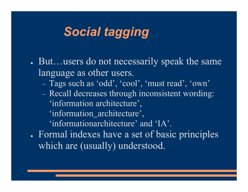## *Social tagging*

- But…users do not necessarily speak the same language as other users.
	- Tags such as 'odd', 'cool', 'must read', 'own'
	- Recall decreases through inconsistent wording: 'information architecture',
		- 'information\_architecture',

'informationarchitecture' and 'IA'.

• Formal indexes have a set of basic principles which are (usually) understood.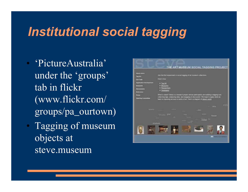## *Institutional social tagging*

- 'PictureAustralia' under the 'groups' tab in flickr (www.flickr.com/ groups/pa\_ourtown)
- Tagging of museum objects at steve.museum

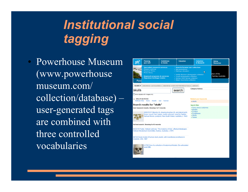## *Institutional social tagging*

• Powerhouse Museum (www.powerhouse museum.com/ collection/database) – user-generated tags are combined with three controlled vocabularies

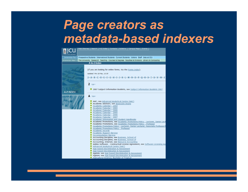## *Page creators as metadata-based indexers*

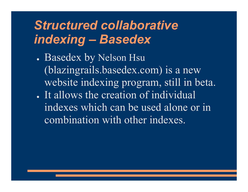## *Structured collaborative indexing – Basedex*

• Basedex by Nelson Hsu (blazingrails.basedex.com) is a new website indexing program, still in beta. It allows the creation of individual indexes which can be used alone or in combination with other indexes.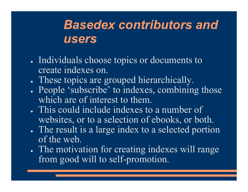## *Basedex contributors and users*

- Individuals choose topics or documents to create indexes on.
- These topics are grouped hierarchically.
- People 'subscribe' to indexes, combining those which are of interest to them.
- This could include indexes to a number of websites, or to a selection of ebooks, or both.
- The result is a large index to a selected portion of the web.
- The motivation for creating indexes will range from good will to self-promotion.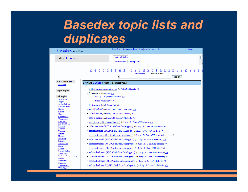## *Basedex topic lists and duplicates*

| <b>Basedex</b> (v.notdone)                                                                                                                      | basedex   discussion   blog   join   contact us   help                                                                                                                                                                                                                                                                                                                                                                              | login            |  |  |  |  |
|-------------------------------------------------------------------------------------------------------------------------------------------------|-------------------------------------------------------------------------------------------------------------------------------------------------------------------------------------------------------------------------------------------------------------------------------------------------------------------------------------------------------------------------------------------------------------------------------------|------------------|--|--|--|--|
| Index: Universe                                                                                                                                 | create sub-index<br>view index info<br>subscriptions                                                                                                                                                                                                                                                                                                                                                                                |                  |  |  |  |  |
|                                                                                                                                                 | Ε<br>all<br>A<br>B C D<br>F<br>G<br>н<br>м<br>N<br>o<br>P<br>Q<br>R<br>s<br>т<br>U<br>V<br>everything<br>current index<br>s<br>search                                                                                                                                                                                                                                                                                               | W<br>x<br>Y<br>z |  |  |  |  |
| top-level indexes<br>Universe<br>super topics                                                                                                   | Browsing Universe for entries beginning with $S$<br>≥≥<br>• S.H.E english fansite & forum (in Asian Multimedia) >>                                                                                                                                                                                                                                                                                                                  |                  |  |  |  |  |
| sub topics<br>Academia<br>Apple<br>Asian Culture<br><b>Basedex Help</b><br>Books<br>Career<br>Cars<br><b>Cell Phones</b>                        | • S3 (Amazon) (in Ruby) $>>$<br>o saving compressed content >><br>$\circ$ using with Ruby $\gg$<br>• S3 (Amazon) (in Ruby on Rails) $>>$<br>• safe (Finalizer) (in Ruby 1.8.6 Core API Methods) >><br>• safe (Finalizer) (in Ruby 1.9 Core API Methods) >><br>• safe (Finalizer) (in Ruby 1.8.5 Core API Methods) >>                                                                                                                |                  |  |  |  |  |
| Computers<br>Education<br>Entertainment<br>Fashion<br>Finance<br>Forums<br>Howto<br>Humor<br>Indexing                                           | safe icony (XSD: Icony Charset) (in Ruby 1.8.5 Core API Methods) >><br>٠<br>safeconstname (XSD::CodeGen::GenSupport) (in Ruby 1.8.5 Core API Methods) >><br>٠<br>safeconstname (XSD::CodeGen::GenSupport) (in Ruby 1.9 Core API Methods) >><br>٠<br>R<br>safeconstname (XSD::CodeGen::GenSupport) (in Ruby 1.8.6 Core API Methods) >><br>٠<br>safeconstname? (XSD::CodeGen::GenSupport) (in Ruby 1.9 Core API Methods) >>           |                  |  |  |  |  |
| Internet<br>Multimedia<br>News<br>People<br>Sample Index<br>Shopping<br><b>Software Engineering</b><br>Sports<br>Starcraft 2<br><b>Startups</b> | safeconstname? (XSD::CodeGen::GenSupport) (in Ruby 1.8.6 Core API Methods) >><br>٠<br>safeconstname? (XSD::CodeGen::GenSupport) (in Ruby 1.8.5 Core API Methods) >><br>٠<br>safemethodname (XSD::CodeGen::GenSupport) (in Ruby 1.8.5 Core API Methods) >><br>safemethodname (XSD::CodeGen::GenSupport) (in Ruby 1.8.6 Core API Methods) >><br>٠<br>safemethodname (XSD::CodeGen::GenSupport) (in Ruby 1.9 Core API Methods) >><br>٠ |                  |  |  |  |  |
| <b>Torrent Sites</b><br>Web Sites                                                                                                               | • safemethodname? (XSD::CodeGen::GenSupport) (in Ruby 1.9 Core API Methods) >>                                                                                                                                                                                                                                                                                                                                                      |                  |  |  |  |  |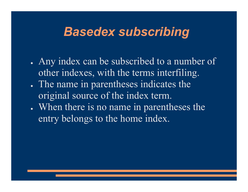## *Basedex subscribing*

- Any index can be subscribed to a number of other indexes, with the terms interfiling.
- <sup>Ɣ</sup> The name in parentheses indicates the original source of the index term.
- When there is no name in parentheses the entry belongs to the home index.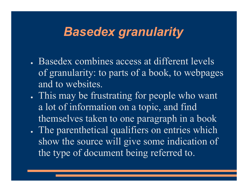## *Basedex granularity*

- Basedex combines access at different levels of granularity: to parts of a book, to webpages and to websites.
- If This may be frustrating for people who want a lot of information on a topic, and find themselves taken to one paragraph in a book
- The parenthetical qualifiers on entries which show the source will give some indication of the type of document being referred to.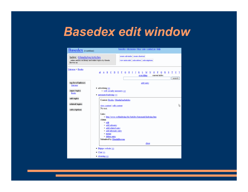## *Basedex edit window*

| <b>Basedex</b> (v.notdone)                                                                             | basedex   discussion   blog   join   contact us   help                                                                                                                                                                              |  |  |
|--------------------------------------------------------------------------------------------------------|-------------------------------------------------------------------------------------------------------------------------------------------------------------------------------------------------------------------------------------|--|--|
| <b>Index: GlendaJonArticles</b><br>online articles on library and online topics by Glenda<br>Browne an | create sub-index create shortcut<br>view index info subscribers subscriptions                                                                                                                                                       |  |  |
| Universe > Books                                                                                       | all<br>A<br><b>BC</b><br>E<br>н<br>u<br>- V<br>D<br>G<br>F<br>м<br>т<br>N<br>Р<br>everything<br>current index<br>search                                                                                                             |  |  |
| top-level indexes<br>Universe<br>super topics<br><b>Books</b>                                          | add entry<br>• advertising >><br>⊙ web security measures ≥≥<br>$\bullet$ automated indexing $\leq$                                                                                                                                  |  |  |
| sub topics<br>related topics<br>subscriptions                                                          | Context: Books, GlendaJonArticles<br>ß<br>view content   edit content<br>No text.                                                                                                                                                   |  |  |
|                                                                                                        | Links:<br>o http://www.webindexing.biz/Articles/AutomaticIndexing.htm<br>Admin<br>$\circ$ edit<br>o add subentry<br>· add related entry<br>· add alternate entry<br>o merge<br>o delete entry<br>Submitted by GlendaBrowne<br>close |  |  |
|                                                                                                        | • Bitpipe website >><br>$\bullet$ Chat $\geq$<br>$\bullet$ elearning $\geq$                                                                                                                                                         |  |  |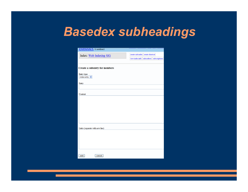## *Basedex subheadings*

| DASCUCX (v.notdone)              |                                           |
|----------------------------------|-------------------------------------------|
| Index: Web Indexing SIG          | create sub-index create shortcut          |
|                                  | view index info subscribers subscriptions |
| Create a subentry for members    |                                           |
| Entry type<br>index entry $\vee$ |                                           |
| Entry                            |                                           |
|                                  |                                           |
| Content                          |                                           |
|                                  |                                           |
|                                  |                                           |
|                                  |                                           |
|                                  |                                           |
|                                  |                                           |
| Links (separate with new line)   |                                           |
|                                  |                                           |
|                                  |                                           |
|                                  |                                           |
|                                  |                                           |
| add<br>cancel                    |                                           |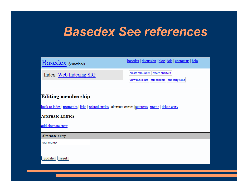## *Basedex See references*

| <b>Basedex</b> (v.notdone)                                                                                 | basedex   discussion   blog   join   contact us   help                        |  |  |  |
|------------------------------------------------------------------------------------------------------------|-------------------------------------------------------------------------------|--|--|--|
| Index: Web Indexing SIG                                                                                    | create sub-index create shortcut<br>view index info subscribers subscriptions |  |  |  |
| <b>Editing membership</b>                                                                                  |                                                                               |  |  |  |
| back to index   properties   links   related entries   alternate entries   contexts   merge   delete entry |                                                                               |  |  |  |
| <b>Alternate Entries</b>                                                                                   |                                                                               |  |  |  |
| add alternate entry                                                                                        |                                                                               |  |  |  |
| Alternate entry                                                                                            |                                                                               |  |  |  |
| signing up                                                                                                 |                                                                               |  |  |  |
| update<br>reset                                                                                            |                                                                               |  |  |  |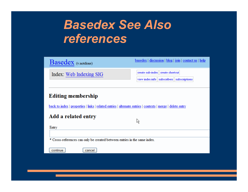## *Basedex See Also references*

| Basedex (v.notdone)                                                                                                                     | basedex   discussion   blog   join   contact us   help                              |  |  |  |
|-----------------------------------------------------------------------------------------------------------------------------------------|-------------------------------------------------------------------------------------|--|--|--|
| Index: Web Indexing SIG                                                                                                                 | create sub-index create shortcut<br>view index info    subscribers    subscriptions |  |  |  |
| <b>Editing membership</b><br>back to index   properties   links   related entries   alternate entries   contexts   merge   delete entry |                                                                                     |  |  |  |
| Add a related entry<br>Entry                                                                                                            | R,                                                                                  |  |  |  |
|                                                                                                                                         |                                                                                     |  |  |  |
| * Cross-references can only be created between entries in the same index.                                                               |                                                                                     |  |  |  |
| continue<br>cancel                                                                                                                      |                                                                                     |  |  |  |
|                                                                                                                                         |                                                                                     |  |  |  |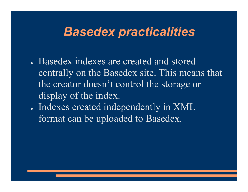## *Basedex practicalities*

- Basedex indexes are created and stored centrally on the Basedex site. This means that the creator doesn't control the storage or display of the index.
- . Indexes created independently in XML format can be uploaded to Basedex.